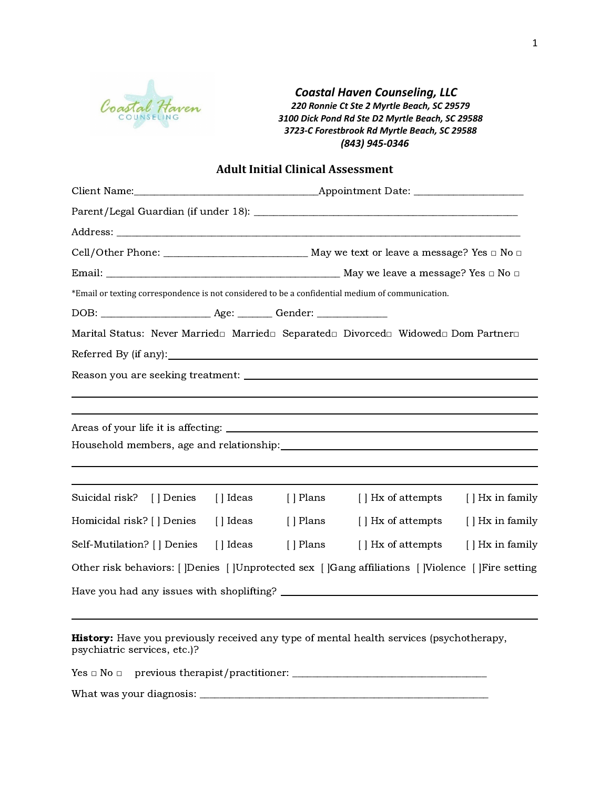

*Coastal Haven Counseling, LLC 220 Ronnie Ct Ste 2 Myrtle Beach, SC 29579 3100 Dick Pond Rd Ste D2 Myrtle Beach, SC 29588 3723-C Forestbrook Rd Myrtle Beach, SC 29588 (843) 945-0346*

# **Adult Initial Clinical Assessment**

| *Email or texting correspondence is not considered to be a confidential medium of communication.                                |           |           |                    |                  |
|---------------------------------------------------------------------------------------------------------------------------------|-----------|-----------|--------------------|------------------|
|                                                                                                                                 |           |           |                    |                  |
| Marital Status: Never Married□ Married□ Separated□ Divorced□ Widowed□ Dom Partner□                                              |           |           |                    |                  |
|                                                                                                                                 |           |           |                    |                  |
|                                                                                                                                 |           |           |                    |                  |
|                                                                                                                                 |           |           |                    |                  |
|                                                                                                                                 |           |           |                    |                  |
|                                                                                                                                 |           |           |                    |                  |
|                                                                                                                                 |           |           |                    |                  |
|                                                                                                                                 |           |           |                    |                  |
| Suicidal risk? [ ] Denies [ ] Ideas                                                                                             |           | [ ] Plans | [ ] Hx of attempts | [ ] Hx in family |
| Homicidal risk? [] Denies                                                                                                       | [ ] Ideas | [ ] Plans | [ ] Hx of attempts | [ ] Hx in family |
| Self-Mutilation? [ ] Denies                                                                                                     | [ ] Ideas | [ ] Plans | [ ] Hx of attempts | [ ] Hx in family |
| Other risk behaviors: [  Denies [  Unprotected sex [  Gang affiliations [  Violence [  Fire setting                             |           |           |                    |                  |
|                                                                                                                                 |           |           |                    |                  |
|                                                                                                                                 |           |           |                    |                  |
| <b>History:</b> Have you previously received any type of mental health services (psychotherapy,<br>psychiatric services, etc.)? |           |           |                    |                  |

Yes □ No □ previous therapist/practitioner: \_\_\_\_\_\_\_\_\_\_\_\_\_\_\_\_\_\_\_\_\_\_\_\_\_\_\_\_\_\_\_\_\_\_\_\_\_\_\_

What was your diagnosis: \_\_\_\_\_\_\_\_\_\_\_\_\_\_\_\_\_\_\_\_\_\_\_\_\_\_\_\_\_\_\_\_\_\_\_\_\_\_\_\_\_\_\_\_\_\_\_\_\_\_\_\_\_\_\_\_\_\_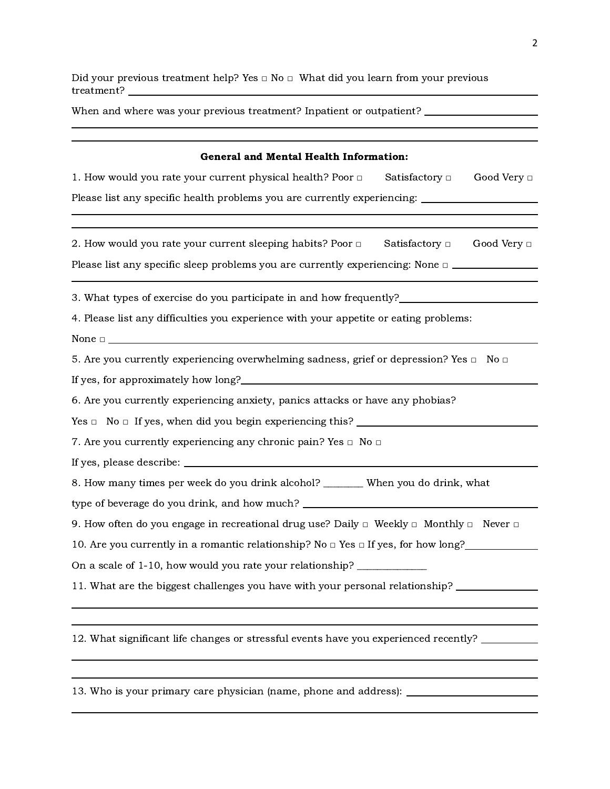Did your previous treatment help? Yes  $\square$  No  $\square$  What did you learn from your previous treatment?

| When and where was your previous treatment? Inpatient or outpatient? __________________                     |  |  |  |
|-------------------------------------------------------------------------------------------------------------|--|--|--|
|                                                                                                             |  |  |  |
| <b>General and Mental Health Information:</b>                                                               |  |  |  |
| 1. How would you rate your current physical health? Poor $\Box$ Satisfactory $\Box$ Good Very $\Box$        |  |  |  |
| Please list any specific health problems you are currently experiencing: ___________________________        |  |  |  |
|                                                                                                             |  |  |  |
| 2. How would you rate your current sleeping habits? Poor $\Box$ Satisfactory $\Box$ Good Very $\Box$        |  |  |  |
| Please list any specific sleep problems you are currently experiencing: None $\Box$                         |  |  |  |
|                                                                                                             |  |  |  |
| 3. What types of exercise do you participate in and how frequently?                                         |  |  |  |
| 4. Please list any difficulties you experience with your appetite or eating problems:                       |  |  |  |
|                                                                                                             |  |  |  |
| 5. Are you currently experiencing overwhelming sadness, grief or depression? Yes $\Box$ No $\Box$           |  |  |  |
|                                                                                                             |  |  |  |
| 6. Are you currently experiencing anxiety, panics attacks or have any phobias?                              |  |  |  |
| $Yes \Box$ No $\Box$ If yes, when did you begin experiencing this?                                          |  |  |  |
| 7. Are you currently experiencing any chronic pain? Yes $\Box$ No $\Box$                                    |  |  |  |
|                                                                                                             |  |  |  |
| 8. How many times per week do you drink alcohol? _______ When you do drink, what                            |  |  |  |
| type of beverage do you drink, and how much? ___________________________________                            |  |  |  |
| 9. How often do you engage in recreational drug use? Daily $\Box$ Weekly $\Box$ Monthly $\Box$ Never $\Box$ |  |  |  |
| 10. Are you currently in a romantic relationship? No $\Box$ Yes $\Box$ If yes, for how long?                |  |  |  |
| On a scale of 1-10, how would you rate your relationship? ______________                                    |  |  |  |
| 11. What are the biggest challenges you have with your personal relationship? __                            |  |  |  |
|                                                                                                             |  |  |  |
|                                                                                                             |  |  |  |
| 12. What significant life changes or stressful events have you experienced recently?                        |  |  |  |

13. Who is your primary care physician (name, phone and address):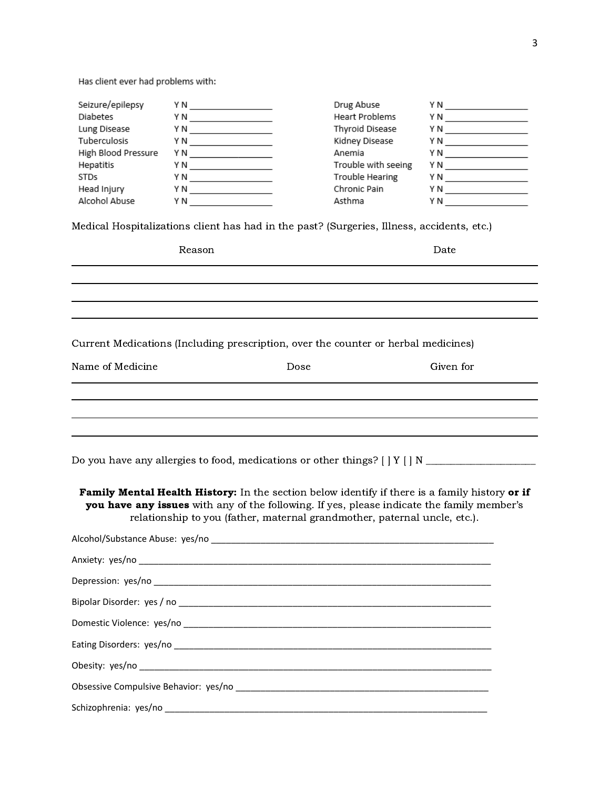Has client ever had problems with:

| Seizure/epilepsy<br><b>Diabetes</b><br>Lung Disease<br><b>Tuberculosis</b><br>High Blood Pressure<br>Hepatitis<br><b>STDs</b><br>Head Injury | Y N<br>Y N<br>Y N<br>YN X<br>YN <b>X</b><br>Y N<br>Y N | Drug Abuse<br><b>Heart Problems</b><br>Thyroid Disease<br>Kidney Disease<br>Anemia<br>Trouble with seeing<br>Trouble Hearing<br>Chronic Pain | ΥN<br>ΥN<br>ΥN<br>ΥN<br>ΥN<br>ΥN<br>Y N<br>ΥN |  |  |
|----------------------------------------------------------------------------------------------------------------------------------------------|--------------------------------------------------------|----------------------------------------------------------------------------------------------------------------------------------------------|-----------------------------------------------|--|--|
| Alcohol Abuse<br>Asthma<br>Y N<br>Y N<br>Medical Hospitalizations client has had in the past? (Surgeries, Illness, accidents, etc.)          |                                                        |                                                                                                                                              |                                               |  |  |
|                                                                                                                                              | Reason                                                 |                                                                                                                                              | Date                                          |  |  |

Current Medications (Including prescription, over the counter or herbal medicines)

| Name of Medicine | Dose | Given for |
|------------------|------|-----------|
|                  |      |           |
|                  |      |           |
|                  |      |           |
|                  |      |           |

Do you have any allergies to food, medications or other things? [ ] Y [ ] N \_\_\_\_\_\_\_\_\_\_\_\_\_\_\_\_\_\_\_\_\_\_

Family Mental Health History: In the section below identify if there is a family history or if you have any issues with any of the following. If yes, please indicate the family member's relationship to you (father, maternal grandmother, paternal uncle, etc.).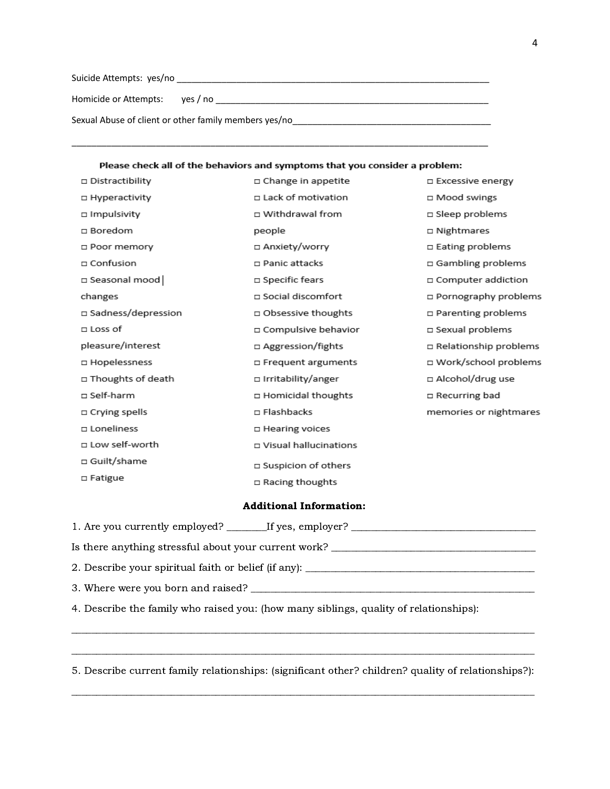Suicide Attempts: yes/no \_\_\_\_\_\_\_\_\_\_\_\_\_\_\_\_\_\_\_\_\_\_\_\_\_\_\_\_\_\_\_\_\_\_\_\_\_\_\_\_\_\_\_\_\_\_\_\_\_\_\_\_\_\_\_\_\_\_\_\_\_\_\_

Homicide or Attempts: yes / no \_\_\_\_\_\_\_\_\_\_\_\_\_\_\_\_\_\_\_\_\_\_\_\_\_\_\_\_\_\_\_\_\_\_\_\_\_\_\_\_\_\_\_\_\_\_\_\_\_\_\_\_\_\_\_

Sexual Abuse of client or other family members yes/no\_\_\_\_\_\_\_\_\_\_\_\_\_\_\_\_\_\_\_\_\_\_\_\_\_\_\_\_

#### Please check all of the behaviors and symptoms that you consider a problem:

\_\_\_\_\_\_\_\_\_\_\_\_\_\_\_\_\_\_\_\_\_\_\_\_\_\_\_\_\_\_\_\_\_\_\_\_\_\_\_\_\_\_\_\_\_\_\_\_\_\_\_\_\_\_\_\_\_\_\_\_\_\_\_\_\_\_\_\_\_\_\_\_\_\_\_\_\_\_\_\_\_\_\_\_

| □ Distractibility    | □ Change in appetite         | □ Excessive energy       |
|----------------------|------------------------------|--------------------------|
| □ Hyperactivity      | □ Lack of motivation         | □ Mood swings            |
| □ Impulsivity        | □ Withdrawal from            | $\square$ Sleep problems |
| $\square$ Boredom    | people                       | □ Nightmares             |
| □ Poor memory        | □ Anxiety/worry              | □ Eating problems        |
| $\square$ Confusion  | □ Panic attacks              | □ Gambling problems      |
| □ Seasonal mood      | □ Specific fears             | □ Computer addiction     |
| changes              | □ Social discomfort          | □ Pornography problems   |
| □ Sadness/depression | □ Obsessive thoughts         | □ Parenting problems     |
| $\square$ Loss of    | □ Compulsive behavior        | □ Sexual problems        |
| pleasure/interest    | □ Aggression/fights          | □ Relationship problems  |
| □ Hopelessness       | $\square$ Frequent arguments | □ Work/school problems   |
| □ Thoughts of death  | □ Irritability/anger         | □ Alcohol/drug use       |
| □ Self-harm          | □ Homicidal thoughts         | □ Recurring bad          |
| $\Box$ Crying spells | □ Flashbacks                 | memories or nightmares   |
| □ Loneliness         | □ Hearing voices             |                          |
| □ Low self-worth     | □ Visual hallucinations      |                          |
| □ Guilt/shame        | □ Suspicion of others        |                          |
| □ Fatigue            | $\Box$ Racing thoughts       |                          |

### Additional Information:

| 1. Are you currently employed? _________If yes, employer? ______________________      |
|---------------------------------------------------------------------------------------|
| Is there anything stressful about your current work?                                  |
| 2. Describe your spiritual faith or belief (if any):                                  |
|                                                                                       |
| 4. Describe the family who raised you: (how many siblings, quality of relationships): |

5. Describe current family relationships: (significant other? children? quality of relationships?):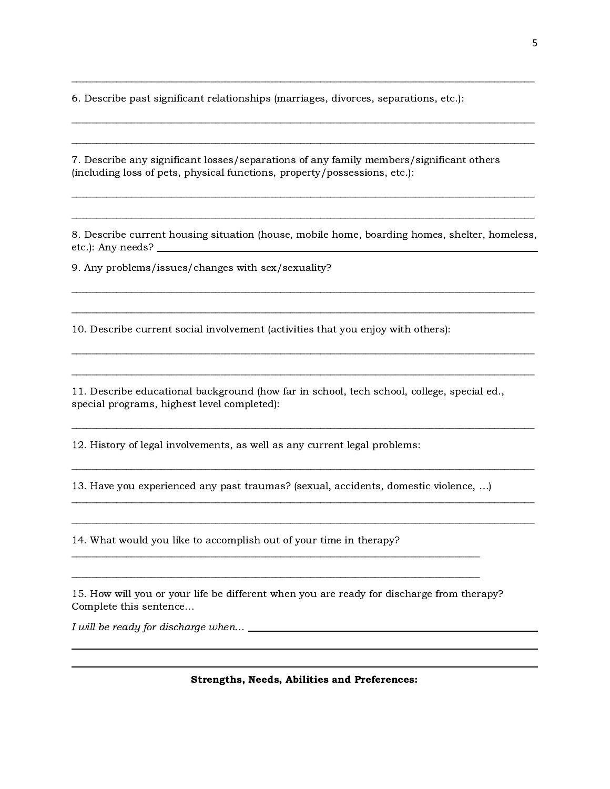6. Describe past significant relationships (marriages, divorces, separations, etc.):

7. Describe any significant losses/separations of any family members/significant others (including loss of pets, physical functions, property/possessions, etc.):

8. Describe current housing situation (house, mobile home, boarding homes, shelter, homeless, etc.): Any needs?

9. Any problems/issues/changes with sex/sexuality?

10. Describe current social involvement (activities that you enjoy with others):

11. Describe educational background (how far in school, tech school, college, special ed., special programs, highest level completed):

12. History of legal involvements, as well as any current legal problems:

13. Have you experienced any past traumas? (sexual, accidents, domestic violence, …)

14. What would you like to accomplish out of your time in therapy?

15. How will you or your life be different when you are ready for discharge from therapy? Complete this sentence…

I will be ready for discharge when...  $\frac{1}{1}$  = 0.000 m = 0.000 m = 0.000 m = 0.000 m = 0.000 m = 0.000 m = 0.000 m = 0.000 m = 0.000 m = 0.000 m = 0.000 m = 0.000 m = 0.000 m = 0.000 m = 0.000 m = 0.000 m = 0.000 m = 0.

Strengths, Needs, Abilities and Preferences: